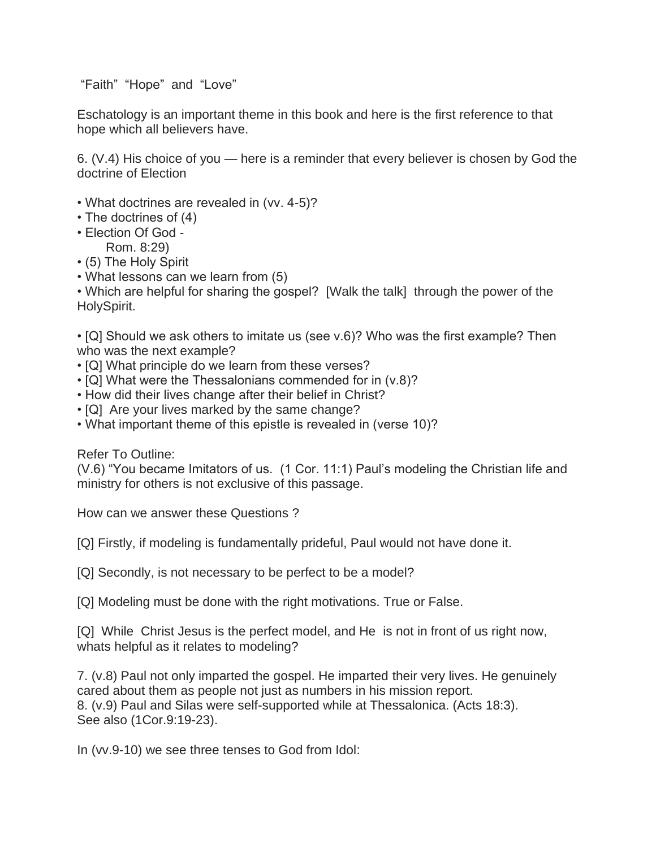"Faith" "Hope" and "Love"

Eschatology is an important theme in this book and here is the first reference to that hope which all believers have.

6. (V.4) His choice of you — here is a reminder that every believer is chosen by God the doctrine of Election

- What doctrines are revealed in (vv. 4-5)?
- The doctrines of (4)
- Election Of God
	- Rom. 8:29)
- (5) The Holy Spirit
- What lessons can we learn from (5)

• Which are helpful for sharing the gospel? [Walk the talk] through the power of the HolySpirit.

• [Q] Should we ask others to imitate us (see v.6)? Who was the first example? Then who was the next example?

- [Q] What principle do we learn from these verses?
- [Q] What were the Thessalonians commended for in (v.8)?
- How did their lives change after their belief in Christ?
- [Q] Are your lives marked by the same change?
- What important theme of this epistle is revealed in (verse 10)?

Refer To Outline:

(V.6) "You became Imitators of us. (1 Cor. 11:1) Paul's modeling the Christian life and ministry for others is not exclusive of this passage.

How can we answer these Questions ?

[Q] Firstly, if modeling is fundamentally prideful, Paul would not have done it.

[Q] Secondly, is not necessary to be perfect to be a model?

[Q] Modeling must be done with the right motivations. True or False.

[Q] While Christ Jesus is the perfect model, and He is not in front of us right now, whats helpful as it relates to modeling?

7. (v.8) Paul not only imparted the gospel. He imparted their very lives. He genuinely cared about them as people not just as numbers in his mission report. 8. (v.9) Paul and Silas were self-supported while at Thessalonica. (Acts 18:3). See also (1Cor.9:19-23).

In (vv.9-10) we see three tenses to God from Idol: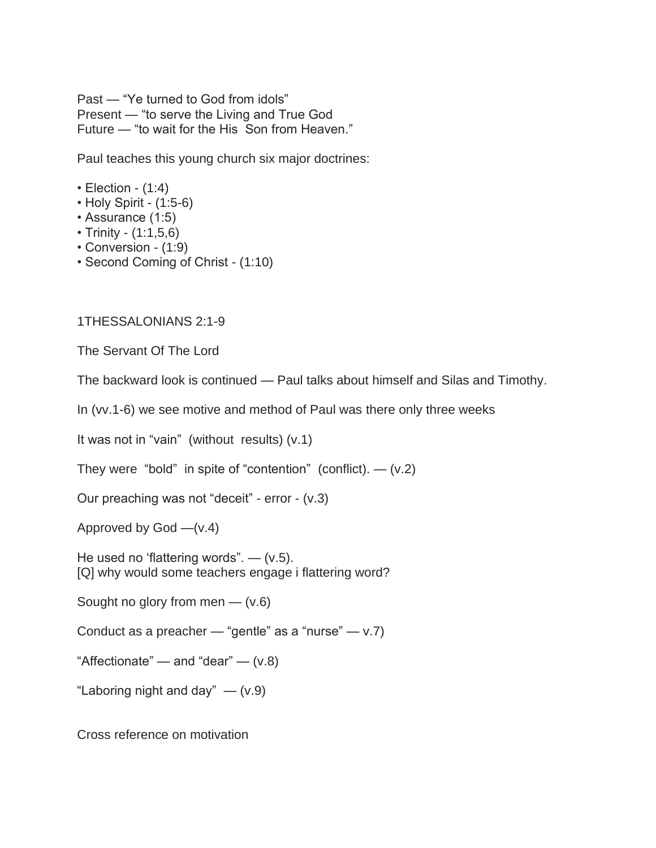Past — "Ye turned to God from idols" Present — "to serve the Living and True God Future — "to wait for the His Son from Heaven."

Paul teaches this young church six major doctrines:

- $\cdot$  Election (1:4)
- Holy Spirit (1:5-6)
- Assurance (1:5)
- Trinity (1:1,5,6)
- Conversion (1:9)
- Second Coming of Christ (1:10)

1THESSALONIANS 2:1-9

The Servant Of The Lord

The backward look is continued — Paul talks about himself and Silas and Timothy.

In (vv.1-6) we see motive and method of Paul was there only three weeks

It was not in "vain" (without results) (v.1)

They were "bold" in spite of "contention" (conflict).  $-$  (v.2)

Our preaching was not "deceit" - error - (v.3)

Approved by  $God - (v.4)$ 

He used no 'flattering words".  $-$  (v.5). [Q] why would some teachers engage i flattering word?

Sought no glory from men  $-$  (v.6)

Conduct as a preacher — "gentle" as a "nurse" —  $v.7$ )

"Affectionate" — and "dear" —  $(v.8)$ 

"Laboring night and day"  $-$  (v.9)

Cross reference on motivation